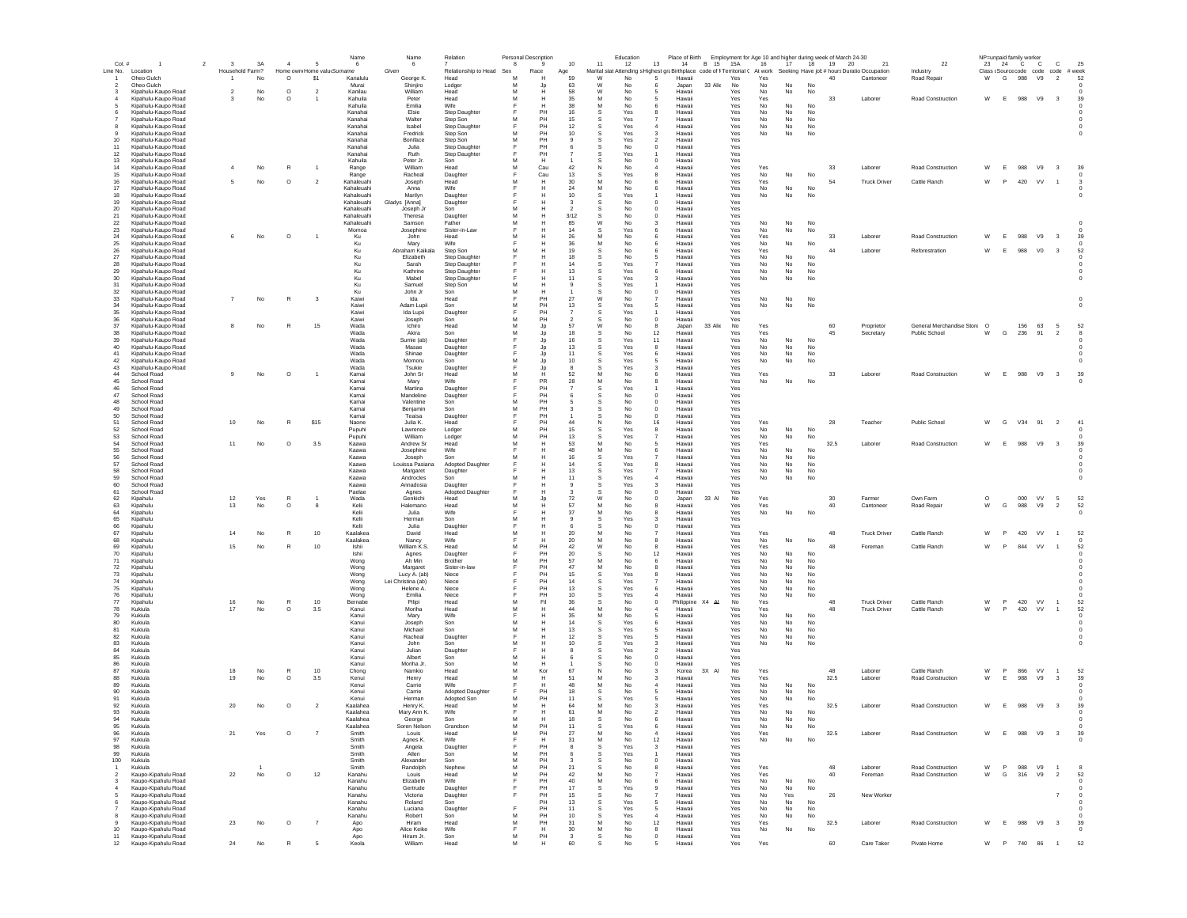| Col. #                         |                                            | $\overline{2}$<br>$\mathbf{3}$ | 3A                  | $\sim$             | 5                          | Name<br>-6               | Name<br>6                | Relation                       | Personal Description<br>$\mathbf{R}$ |              | 10           | 11               | Education<br>12 | 13<br>14                                                                                                                   | Place of Birth Employment for Age 10 and higher during week of March 24-30<br>B 15<br>15A | 16         | 17                | 18       | 19<br>20 | 21                      | 22                                                |              | 23 24 C  | NP=unpaid family worker | $\mathbf{C}$                 | $\mathbf{C}$             | 25                 |
|--------------------------------|--------------------------------------------|--------------------------------|---------------------|--------------------|----------------------------|--------------------------|--------------------------|--------------------------------|--------------------------------------|--------------|--------------|------------------|-----------------|----------------------------------------------------------------------------------------------------------------------------|-------------------------------------------------------------------------------------------|------------|-------------------|----------|----------|-------------------------|---------------------------------------------------|--------------|----------|-------------------------|------------------------------|--------------------------|--------------------|
|                                | Line No. Location                          | Household Farm?                |                     |                    | Home own Home valu Surname |                          | Given                    | Relationship to Head Sex       |                                      | Race         | Age          |                  |                 | Marital stat Attending s Highest graBirthplace code of fi Territorial ( At work Seeking Have job# hours Duratio Occupation |                                                                                           |            |                   |          |          |                         | Industry                                          |              |          |                         | Class (Source code code code | # week                   |                    |
|                                | Oheo Gulch                                 |                                | $\mathsf{No}$       | $\circ$            | \$1                        | Kanalulu                 | George K.                | Head                           | M                                    |              | 59           | W                | No              | Hawaii                                                                                                                     | Yes                                                                                       | Yes        |                   |          | 40       | Cantoneer               | Road Repair                                       | W            | G        | 988 V9                  |                              | $\overline{2}$           | 52                 |
|                                | Oheo Gulch                                 |                                |                     |                    | $\overline{2}$             | Murai                    | Shinjiro                 | Lodger                         | M<br>M                               | Jp           | 63<br>58     | W<br>W           | No              | Japan                                                                                                                      | 33 Alie<br>No                                                                             | No         | No                | No       |          |                         |                                                   |              |          |                         |                              |                          |                    |
|                                | Kipahulu-Kaupo Road<br>Kipahulu-Kaupo Road | $\overline{\mathbf{2}}$<br>3   | No<br>$\mathsf{No}$ | $\circ$<br>$\circ$ |                            | Kanilau<br>Kahuila       | William<br>Peter         | Head<br>Head                   |                                      |              | 35           | M                | No<br>No        | Hawai<br>Hawai<br>-5                                                                                                       | Yes<br>Yes                                                                                | No<br>Yes  | No                | No       | 33       | Laborer                 | Road Construction                                 | W            | E        | 988                     | V9                           | $\overline{\mathbf{3}}$  | 39                 |
|                                | Kipahulu-Kaupo Road                        |                                |                     |                    |                            | Kahuila                  | Emilia                   | Wife                           |                                      |              | 38           |                  | No              | Hawaii                                                                                                                     | Yes                                                                                       | No         | No                | No       |          |                         |                                                   |              |          |                         |                              |                          |                    |
|                                | Kipahulu-Kaupo Road                        |                                |                     |                    |                            | Kanahai                  | Elsie                    | Step Daughter                  |                                      | PH<br>PH     | 16           |                  | Yes             | Hawai                                                                                                                      | Yes                                                                                       | No         | No                | No       |          |                         |                                                   |              |          |                         |                              |                          |                    |
|                                | Kipahulu-Kaupo Road<br>Kipahulu-Kaupo Road |                                |                     |                    |                            | Kanahai<br>Kanahai       | Walter<br>Isabel         | Step Son<br>Step Daughter      | E                                    | PH           | 15<br>12     | s                | Yes<br>Yes      | Hawaii<br>$\overline{4}$<br>Hawaii                                                                                         | Yes<br>Yes                                                                                | No<br>No   | No<br>No          | No<br>No |          |                         |                                                   |              |          |                         |                              |                          |                    |
|                                | Kinahulu-Kaupo Road                        |                                |                     |                    |                            | Kanahai                  | Fredrick                 | Step Son                       |                                      | PH           | 10           |                  | Yes             | Hawaii<br>-3                                                                                                               | Yes                                                                                       | No.        | No                | No       |          |                         |                                                   |              |          |                         |                              |                          | $^{\circ}$         |
| 10                             | Kipahulu-Kaupo Road                        |                                |                     |                    |                            | Kanahai                  | Boniface                 | Step Son                       | м                                    | PH           |              |                  | Yes             | Hawaii<br>2                                                                                                                | Yes                                                                                       |            |                   |          |          |                         |                                                   |              |          |                         |                              |                          |                    |
| 11<br>12                       | Kinahulu-Kaupo Road<br>Kipahulu-Kaupo Road |                                |                     |                    |                            | Kanahai<br>Kanahai       | Julia<br>Ruth            | Step Daughter<br>Step Daughter | E                                    | PH<br>PH     |              | s                | No<br>Yes       | $\Omega$<br>Hawaii<br>Hawaii                                                                                               | Yes<br>Yes                                                                                |            |                   |          |          |                         |                                                   |              |          |                         |                              |                          |                    |
| 13                             | Kipahulu-Kaupo Road                        |                                |                     |                    |                            | Kahuila                  | Peter Jr.                | Son                            | м                                    | H            |              |                  | No              | Hawaii<br>$\Omega$                                                                                                         | Yes                                                                                       |            |                   |          |          |                         |                                                   |              |          |                         |                              |                          |                    |
| 14                             | Kipahulu-Kaupo Road                        | $\overline{a}$                 | No                  | $\mathbb{R}$       | $\mathbf{1}$               | Range                    | William                  | Head                           | M                                    | Cau          | 42           | N                | No              | Hawaii                                                                                                                     | Yes                                                                                       | Yes        |                   |          | 33       | Laborer                 | Road Construction                                 | W            | E        | 988                     | V9                           | $_{3}$                   | 39                 |
| 15                             | Kipahulu-Kaupo Road                        | 5                              |                     |                    | $\overline{2}$             | Range                    | Racheal                  | Daughter                       | M                                    | Cau          | 13<br>30     | M                | Yes             | Hawaii<br>8                                                                                                                | Yes                                                                                       | No         | No                | No       |          |                         |                                                   | W            | P        |                         |                              |                          | $\mathbf{R}$       |
| 16<br>17                       | Kipahulu-Kaupo Road<br>Kipahulu-Kaupo Road |                                | No                  | $\circ$            |                            | Kahaleuahi<br>Kahaleuahi | Joseph<br>Anna           | Head<br>Wife                   |                                      |              | 24           | M                | No<br>No        | Hawaii<br>Hawai                                                                                                            | Yes<br>Yes                                                                                | Yes<br>No  | $_{\rm No}$       | No       | 54       | <b>Truck Driver</b>     | Cattle Ranch                                      |              |          | 420                     | VV                           |                          |                    |
| 18                             | Kipahulu-Kaupo Road                        |                                |                     |                    |                            | Kahaleuahi               | Marilyn                  | Daughter                       |                                      |              | 10           |                  | Yes             | Hawaii                                                                                                                     | Yes                                                                                       | No         | No                | No       |          |                         |                                                   |              |          |                         |                              |                          |                    |
| 19                             | Kipahulu-Kaupo Road                        |                                |                     |                    |                            | Kahaleuahi               | Gladys [Anna]            | Daughter                       |                                      |              | 3            | s                | No              | Hawaii<br>$^{\circ}$                                                                                                       | Yes                                                                                       |            |                   |          |          |                         |                                                   |              |          |                         |                              |                          |                    |
| 20<br>21                       | Kipahulu-Kaupo Road<br>Kipahulu-Kaupo Road |                                |                     |                    |                            | Kahaleuahi<br>Kahaleuahi | Joseph Jr<br>Theresa     | Son<br>Daughter                |                                      |              | 3/12         |                  | No<br>No        | Hawaii<br>$^{\circ}$<br>$^{\circ}$<br>Hawaii                                                                               | Yes<br>Yes                                                                                |            |                   |          |          |                         |                                                   |              |          |                         |                              |                          |                    |
| 22                             | Kipahulu-Kaupo Road                        |                                |                     |                    |                            | Kahaleuahi               | Samson                   | Father                         |                                      |              | 85           | W                | No              | Hawaii                                                                                                                     | Yes                                                                                       | No         | No                | No       |          |                         |                                                   |              |          |                         |                              |                          |                    |
| 23                             | Kipahulu-Kaupo Road                        |                                |                     |                    |                            | Momoa                    | Josephine                | Sister-in-Law                  | E                                    | н.           | 14           | s                | Yes             | 6<br>Hawaii                                                                                                                | Yes                                                                                       | No         | No                | No       |          |                         |                                                   |              |          |                         |                              |                          |                    |
| 24<br>25                       | Kinahulu-Kaupo Road<br>Kipahulu-Kaupo Road | 6                              | No                  | $\circ$            | $\overline{1}$             | Ku<br>Ku                 | John<br>Mary             | Head<br>Wife                   |                                      |              | 26<br>36     | м<br>м           | No<br>No        | Hawaii<br>6<br>Hawaii<br>-6                                                                                                | Yes<br>Yes                                                                                | Yes<br>No. | No                | No       | 33       | Laborer                 | <b>Road Construction</b>                          | W            | E        | 988                     | V9                           | $_{3}$                   | 39                 |
| 26                             | Kinahulu-Kaupo Road                        |                                |                     |                    |                            | Ku                       | Ahraham Kaikala          | Step Son                       |                                      |              | 19           |                  | No              | Hawaii<br>-6                                                                                                               | Yes                                                                                       | Yes        |                   |          | 44       | Laborer                 | Reforestration                                    | W            | E        | 988                     | V <sub>0</sub>               | $_{3}$                   | 52                 |
| 27                             | Kipahulu-Kaupo Road                        |                                |                     |                    |                            | $K_{II}$                 | Elizabeth                | Step Daughter                  | E                                    |              | 18           | s                | No              | Hawaii<br>-5                                                                                                               | Yes                                                                                       | No         | No                | No       |          |                         |                                                   |              |          |                         |                              |                          |                    |
| 28                             | Kipahulu-Kaupo Road<br>Kinahulu-Kaupo Road |                                |                     |                    |                            | Ku<br>$K_{II}$           | Sarah<br>Kathrine        | Step Daughter                  |                                      |              | 14<br>13     |                  | Yes             | Hawaii<br>Hawaii<br>6                                                                                                      | Yes                                                                                       | No<br>No   | No                | No<br>No |          |                         |                                                   |              |          |                         |                              |                          |                    |
| 29<br>30                       | Kipahulu-Kaupo Road                        |                                |                     |                    |                            | Ku                       | Mabel                    | Step Daughter<br>Step Daughter |                                      |              | 11           |                  | Yes<br>Yes      | Hawaii<br>3                                                                                                                | Yes<br>Yes                                                                                | No         | No<br>No          | No       |          |                         |                                                   |              |          |                         |                              |                          |                    |
| 31                             | Kipahulu-Kaupo Road                        |                                |                     |                    |                            | Ku                       | Samuel                   | Step Son                       | M                                    |              | $\mathbf{Q}$ | s                | Yes             | Hawai                                                                                                                      | Yes                                                                                       |            |                   |          |          |                         |                                                   |              |          |                         |                              |                          |                    |
| 32                             | Kipahulu-Kaupo Road                        |                                |                     |                    |                            | Ku                       | John Jr                  | Son                            | M                                    |              |              |                  | No              | Hawai                                                                                                                      | Yes                                                                                       |            |                   |          |          |                         |                                                   |              |          |                         |                              |                          |                    |
| 33<br>34                       | Kipahulu-Kaupo Road<br>Kipahulu-Kaupo Road |                                | No                  | $\mathbb{R}$       | 3                          | Kaiwi<br>Kaiwi           | Ida<br>Adam Lupii        | Head<br>Son                    | M                                    | PH<br>PH     | 27<br>13     | W<br>s           | No<br>Yes       | Hawai<br>Hawaii<br>-5                                                                                                      | Yes<br>Yes                                                                                | No<br>No   | No<br>No          | No<br>No |          |                         |                                                   |              |          |                         |                              |                          |                    |
| 35                             | Kipahulu-Kaupo Road                        |                                |                     |                    |                            | Kaiwi                    | Ida Lupii                | Daughter                       |                                      | PH           |              |                  | Yes             | Hawaii                                                                                                                     | Yes                                                                                       |            |                   |          |          |                         |                                                   |              |          |                         |                              |                          |                    |
| 36                             | Kipahulu-Kaupo Road                        |                                |                     |                    |                            | Kaiwi                    | Joseph                   | Son                            |                                      | PH           |              |                  | No              | Hawaii<br>$\circ$                                                                                                          | Yes                                                                                       |            |                   |          |          |                         |                                                   |              |          |                         |                              |                          |                    |
| 37<br>38                       | Kipahulu-Kaupo Road<br>Kipahulu-Kaupo Road |                                | No                  | $\mathbb{R}$       | 15                         | Wada<br>Wada             | Ichiro<br>Akira          | Head<br>Son                    | M                                    | Jp<br>Jp     | 57<br>18     | W<br>s           | <b>No</b><br>No | 8<br>Japan<br>12<br>Hawaii                                                                                                 | 33 Alie<br>No<br>Yes                                                                      | Yes<br>Yes |                   |          | 60<br>45 | Proprietor<br>Secretary | General Merchandise Store<br><b>Public School</b> | $\circ$<br>W | G        | 156<br>236              | 63<br>91                     | 5<br>$\overline{2}$      | 52<br>$\mathbf{a}$ |
| 39                             | Kipahulu-Kaupo Road                        |                                |                     |                    |                            | Wada                     | Sumie (ab)               | Daughter                       |                                      | Jp           | 16           | s                | Yes             | 11<br>Hawaii                                                                                                               | Yes                                                                                       | No.        | No                | No       |          |                         |                                                   |              |          |                         |                              |                          |                    |
| 40                             | Kipahulu-Kaupo Road                        |                                |                     |                    |                            | Wada                     | Masae                    | Daughter                       |                                      | Jp           | 13           | s                | Yes             | 8<br>Hawaii                                                                                                                | Yes                                                                                       | No         | No                | No       |          |                         |                                                   |              |          |                         |                              |                          |                    |
| 41<br>42                       | Kinahulu-Kaupo Road<br>Kipahulu-Kaupo Road |                                |                     |                    |                            | Wada<br>Wada             | Shinae<br>Momoru         | Daughter<br>Son                | M                                    | Jp           | 11<br>10     | s                | Yes<br>Yes      | 6<br>Hawaii<br>5<br>Hawaii                                                                                                 | Yes<br>Yes                                                                                | No.        | No                | No<br>No |          |                         |                                                   |              |          |                         |                              |                          |                    |
| 43                             | Kipahulu-Kaupo Road                        |                                |                     |                    |                            | Wada                     | Tsukie                   | Daughter                       |                                      | Jp<br>Jp     |              |                  | Yes             | Hawaii<br>3                                                                                                                | Yes                                                                                       | No         | No                |          |          |                         |                                                   |              |          |                         |                              |                          |                    |
| 44                             | School Road                                | $\mathbf{Q}$                   | No                  | $\circ$            | $\mathbf{1}$               | Kamai                    | John Sr                  | Head                           | м                                    | H            | 52           | M                | No              | Hawaii<br>6                                                                                                                | Yes                                                                                       | Yes        |                   |          | 33       | Laborer                 | Road Construction                                 | W            | E        | 988 V9                  | $\overline{\phantom{a}}$     |                          | 39                 |
| 45                             | School Road                                |                                |                     |                    |                            | Kamai                    | Mary                     | Wife                           |                                      | PR           | 28           | M                | No              | Hawaii<br>8                                                                                                                | Yes                                                                                       | No         | No                | No       |          |                         |                                                   |              |          |                         |                              |                          |                    |
| 46<br>47                       | School Road<br>School Road                 |                                |                     |                    |                            | Kamai<br>Kamai           | Martina<br>Mandeline     | Daughter<br>Daughter           |                                      | PH<br>PH     |              | S                | Yes<br>No       | Hawaii<br>$\mathbf 0$<br>Hawaii                                                                                            | Yes<br>Yes                                                                                |            |                   |          |          |                         |                                                   |              |          |                         |                              |                          |                    |
| 48                             | School Road                                |                                |                     |                    |                            | Kamai                    | Valentine                | Son                            | M                                    | PH           |              |                  | No              | $\mathbf 0$<br>Hawaii                                                                                                      | Yes                                                                                       |            |                   |          |          |                         |                                                   |              |          |                         |                              |                          |                    |
| 49                             | School Road                                |                                |                     |                    |                            | Kamai                    | Benjamin                 | Son                            | M                                    | PH           |              |                  | No              | $\circ$<br>Hawaii                                                                                                          | Yes                                                                                       |            |                   |          |          |                         |                                                   |              |          |                         |                              |                          |                    |
| 50<br>51                       | School Road<br>School Road                 | 10                             | No                  | $\mathbb{R}$       | \$15                       | Kamai                    | Teaisa<br>Julia K.       | Daughter                       |                                      | PH<br>PH     |              |                  | <b>No</b><br>No | Hawaii<br>$^{\circ}$<br>16<br>Hawaii                                                                                       | Yes<br>Yes                                                                                | Yes        |                   |          | 28       |                         | Public School                                     | W            | G        | V34                     | 91                           | $\overline{2}$           | 41                 |
| 52                             | School Road                                |                                |                     |                    |                            | Naone<br>Pupuhi          | Lawrence                 | Head<br>Lodger                 |                                      | PH           | 15           |                  | Yes             | Hawaii<br>8                                                                                                                | Yes                                                                                       | No         | No                | No       |          | Teacher                 |                                                   |              |          |                         |                              |                          |                    |
| 53                             | School Road                                |                                |                     |                    |                            | Pupuhi                   | William                  | Lodger                         | м                                    | PH           | 13           | s                | Yes             | Hawaii<br>7                                                                                                                | Yes                                                                                       | No         | No                | No       |          |                         |                                                   |              |          |                         |                              |                          |                    |
| -54                            | School Road                                | 11                             | No                  | $\circ$            | 3.5                        | Kaawa                    | Andrew Sr                | Head                           |                                      |              | 53           | м                | No              | Hawaii<br>-5                                                                                                               | Yes                                                                                       | Yes        | No                |          | 32.5     | Laborer                 | Road Construction                                 | W            | E        | 988                     | V9<br>$_{3}$                 |                          | 39                 |
| 55<br>56                       | School Road<br>School Road                 |                                |                     |                    |                            | Kaawa<br>Kaawa           | Josephine<br>Joseph      | Wife<br>Son                    |                                      |              | 48<br>16     | м                | No<br>Yes       | 6<br>Hawaii<br>Hawaii                                                                                                      | Yes<br>Yes                                                                                | No.<br>No. | No                | No<br>No |          |                         |                                                   |              |          |                         |                              |                          |                    |
| 57                             | School Road                                |                                |                     |                    |                            | Kaawa                    | Louissa Pasiana          | Adopted Daughter               | F                                    | н            | 14           | s                | Yes             | 8<br>Hawaii                                                                                                                | Yes                                                                                       | No         | No                | No       |          |                         |                                                   |              |          |                         |                              |                          |                    |
| 58                             | School Road                                |                                |                     |                    |                            | Kaawa                    | Margaret                 | Daughter                       |                                      |              | 13           | s                | Yes             | Hawaii                                                                                                                     | Yes                                                                                       | No         | No                | No       |          |                         |                                                   |              |          |                         |                              |                          | $\Omega$           |
| 59<br>60                       | School Road<br>School Road                 |                                |                     |                    |                            | Kaawa<br>Kaawa           | Androcles<br>Annadosia   | Son<br>Daughter                | M                                    |              | 11           |                  | Yes<br>Yes      | Hawaii<br>$\overline{4}$<br>Hawaii<br>3                                                                                    | Yes<br>Yes                                                                                | No         | No                | No       |          |                         |                                                   |              |          |                         |                              |                          |                    |
| 61                             | School Road                                |                                |                     |                    |                            | Paelae                   | Agnes                    | Adopted Daughter               |                                      |              |              | s                | No              | $\mathbf 0$<br>Hawaii                                                                                                      | Yes                                                                                       |            |                   |          |          |                         |                                                   |              |          |                         |                              |                          |                    |
| 62                             | Kipahulu                                   | 12                             | Yes                 |                    |                            | Wada                     | Genkichi                 | Head                           | M                                    | Jp           | 72           | W                | No              | $\mathbf 0$<br>Japan                                                                                                       | 33 Al<br>No                                                                               | Yes        |                   |          | 30       | Farmer                  | Own Farm                                          | $\circ$      |          | 000                     | VV                           | 5                        | 52                 |
| 63<br>64                       | Kipahulu                                   | 13                             | No                  | $\circ$            |                            | Kelii<br>Kelii           | Halemano                 | Head                           | M                                    |              | 57<br>37     | M<br>M           | No<br>No        | Hawaii                                                                                                                     | Yes                                                                                       | Yes        |                   | No       | 40       | Cantoneer               | Road Repair                                       | W            | G        | 988                     | V9                           | $\overline{2}$           | 52                 |
| 65                             | Kipahulu<br>Kipahulu                       |                                |                     |                    |                            | Kelii                    | Julia<br>Herman          | Wife<br>Son                    |                                      |              |              |                  | Yes             | Hawaii<br>8<br>Hawaii<br>-3                                                                                                | Yes<br>Yes                                                                                | No         | No                |          |          |                         |                                                   |              |          |                         |                              |                          |                    |
| 66                             | Kipahulu                                   |                                |                     |                    |                            | Kelii                    | Julia                    | Daughter                       |                                      |              |              |                  | No              | $\circ$<br>Hawaii                                                                                                          | Yes                                                                                       |            |                   |          |          |                         |                                                   |              |          |                         |                              |                          |                    |
| 67                             | Kipahulu                                   | 14                             | No                  | $\mathbb{R}$       | 10                         | Kaalakea                 | David                    | Head                           |                                      |              | 20           | N                | No              | Hawaii                                                                                                                     | Yes                                                                                       | Yes        |                   |          | 48       | <b>Truck Driver</b>     | Cattle Ranch                                      | W            |          | 420                     | VV                           | $\overline{1}$           | 52                 |
| 68<br>69                       | Kipahulu<br>Kipahulu                       | 15                             | No                  | $\mathbb{R}$       | 10                         | Kaalakea<br>Ishii        | Nancy<br>William K.S.    | Wife<br>Head                   |                                      | PH           | 20<br>42     | M<br>W           | No<br>No        | 8<br>Hawaii<br>8<br>Hawaii                                                                                                 | Yes<br>Yes                                                                                | No<br>Yes  | No                | No       | 48       | Foreman                 | Cattle Ranch                                      | W            | P.       | 844                     | <b>VV</b>                    | $\overline{1}$           | 52                 |
| 70                             | Kipahulu                                   |                                |                     |                    |                            | Ishii                    | Agnes                    | Daughter                       | E                                    | PH           | 20           | s                | No              | 12<br>Hawaii                                                                                                               | Yes                                                                                       | No.        | No                | No       |          |                         |                                                   |              |          |                         |                              |                          |                    |
| 71                             | Kipahulu                                   |                                |                     |                    |                            | Wong                     | Ah Min                   | Brother                        | м                                    | PH           | 57           | м                | No              | 6<br>Hawaii                                                                                                                | Yes                                                                                       | No.        | No                | No       |          |                         |                                                   |              |          |                         |                              |                          |                    |
| 72<br>73                       | Kipahulu<br>Kipahulu                       |                                |                     |                    |                            | Wong<br>Wong             | Margaret<br>Lucy A. (ab) | Sister-in-law<br>Niece         | F                                    | PH<br>PH     | 47<br>15     | M<br>s           | No<br>Yes       | Hawaii<br>8<br>Hawaii<br>8                                                                                                 | Yes<br>Yes                                                                                | No<br>No   | No<br>No          | No<br>No |          |                         |                                                   |              |          |                         |                              |                          |                    |
| 74                             | Kipahulu                                   |                                |                     |                    |                            | Wong                     | Lei Christina (ab)       | Niece                          |                                      | PH           | 14           | s                | Yes             | Hawaii                                                                                                                     | Yes                                                                                       | No         | No                | No       |          |                         |                                                   |              |          |                         |                              |                          |                    |
| 75                             | Kipahulu                                   |                                |                     |                    |                            | Wong                     | Helene A                 | Niece                          |                                      | PH           | 13           |                  | Yes             | Hawaii                                                                                                                     | Yes                                                                                       | No         | No                | No       |          |                         |                                                   |              |          |                         |                              |                          |                    |
| 76<br>77                       | Kipahulu<br>Kipahulu                       | 16                             | $\mathsf{No}$       | $\mathbb{R}$       | 10                         | Wong<br>Bernabe          | Emilia<br>Pilipi         | Niece<br>Head                  | M                                    | PH<br>Fil    | 10<br>36     | s                | Yes<br>No       | Hawaii<br>Philippine<br>$\mathbf 0$                                                                                        | Yes<br>No<br>X4<br>A                                                                      | No<br>Yes  | No                | No       | 48       | <b>Truck Driver</b>     | Cattle Ranch                                      | W            | P        | 420                     | VV                           |                          | 52                 |
| 78                             | Kukiula                                    | 17                             | $\mathsf{No}$       | $\circ$            | $3.5\,$                    | Kanui                    | Moriha                   | Head                           | M                                    |              | 44           | M                | No              | Hawaii                                                                                                                     | Yes                                                                                       | Yes        |                   |          | 48       | <b>Truck Driver</b>     | Cattle Ranch                                      | W            | P        | 420                     | VV                           | $\overline{1}$           | 52                 |
| 79                             | Kukiula                                    |                                |                     |                    |                            | Kanui                    | Mary                     | Wife                           |                                      |              | 35           | M                | No              | Hawai<br>-5                                                                                                                | Yes                                                                                       | No         | No                | No       |          |                         |                                                   |              |          |                         |                              |                          |                    |
| 80<br>81                       | Kukiula<br>Kukiula                         |                                |                     |                    |                            | Kanui<br>Kanui           | Joseph<br>Michael        | Son<br>Son                     | M                                    |              | 14<br>13     |                  | Yes<br>Yes      | Hawaii<br>Hawaii                                                                                                           | Yes<br>Yes                                                                                | No<br>No   | No<br>No          | No<br>No |          |                         |                                                   |              |          |                         |                              |                          |                    |
| 82                             | Kukiula                                    |                                |                     |                    |                            | Kanui                    | Racheal                  | Daughter                       |                                      |              | 12           |                  | Yes             | Hawaii                                                                                                                     | Yes                                                                                       | No         | No                | No       |          |                         |                                                   |              |          |                         |                              |                          |                    |
| 83                             | Kukiula                                    |                                |                     |                    |                            | Kanui                    | John                     | Son                            | м                                    | н.           | 10           | s                | Yes             | 3<br>Hawaii                                                                                                                | Yes                                                                                       | No         | No                | No       |          |                         |                                                   |              |          |                         |                              |                          |                    |
| 84<br>85                       | Kukiula<br>Kukiula                         |                                |                     |                    |                            | Kanui<br>Kanui           | Julian<br>Albert         | Daughter<br>Son                | м                                    |              | 8<br>6       | s                | Yes<br>No       | $\overline{\phantom{a}}$<br>Hawaii<br>$^{\circ}$<br>Hawaii                                                                 | Yes<br>Yes                                                                                |            |                   |          |          |                         |                                                   |              |          |                         |                              |                          |                    |
| 86                             | Kukiula                                    |                                |                     |                    |                            | Kanui                    | Moriha Jr.               | Son                            | м                                    |              |              |                  | No              | $^{\circ}$<br>Hawaii                                                                                                       | Yes                                                                                       |            |                   |          |          |                         |                                                   |              |          |                         |                              |                          |                    |
| 87                             | Kukiula                                    | 18                             | No                  | $\mathbb{R}$       | 10                         | Chong                    | Namkio                   | Head                           | M                                    | Kor          | 67           | N                | No              | 3<br>Korea                                                                                                                 | 3X<br>No<br>Al                                                                            | Yes        |                   |          | 48       | Laborer                 | Cattle Ranch                                      | W            | <b>P</b> | 866                     | <b>VV</b>                    | $\overline{1}$           | 52                 |
| 88<br>89                       | Kukiula<br>Kukiula                         | 19                             | No                  | $\circ$            | 3.5                        | Kenu<br>Kenui            | Henry                    | Head<br>Wife                   | M                                    | $\mathbf{H}$ | 51<br>48     | M<br>M           | No<br>No        | Hawaii<br>Hawaii                                                                                                           | Yes                                                                                       | Yes<br>No  |                   | No       | 32.5     | Laborer                 | Road Construction                                 | W            | E        | 988                     | V9                           | $\overline{\mathbf{3}}$  | 39<br>$\Omega$     |
| 90                             | Kukiula                                    |                                |                     |                    |                            | Kenui                    | Carrie<br>Carrie         | Adopted Daughte                |                                      | PH           | 18           | S                | No              | Hawaii                                                                                                                     | Yes<br>Yes                                                                                | No         | No<br>No          | No       |          |                         |                                                   |              |          |                         |                              |                          |                    |
| 91                             | Kukiula                                    |                                |                     |                    |                            | Kenui                    | Herman                   | Adopted Son                    | M                                    | PH           | 11           | s                | Yes             | 5<br>Hawaii                                                                                                                | Yes                                                                                       | No         | No                | No       |          |                         |                                                   |              |          |                         |                              |                          |                    |
| 92                             | Kukiula                                    | 20                             | $\mathsf{No}$       | $\circ$            | $\overline{2}$             | Kaalahea                 | Henry K                  | Head                           | M                                    |              | 64           | M<br>M           | No              | Hawaii                                                                                                                     | Yes                                                                                       | Yes        |                   |          | 32.5     | Laborer                 | Road Construction                                 | W            | E        | 988                     | V9                           | $\overline{\mathbf{3}}$  | 39                 |
| 93<br>94                       | Kukiula<br>Kukiula                         |                                |                     |                    |                            | Kaalahea<br>Kaalahea     | Mary Ann K.<br>George    | Wife<br>Son                    |                                      |              | 61<br>18     |                  | No<br>No        | Hawaii<br>Hawaii                                                                                                           | Yes<br>Yes                                                                                | No<br>No   | No<br>No          | No<br>No |          |                         |                                                   |              |          |                         |                              |                          |                    |
| 95                             |                                            |                                |                     |                    |                            | Kaalahea                 | Soren Nelsor             | Grand                          |                                      | PH           | 11           |                  | Yes             | Hawai                                                                                                                      | Yes                                                                                       | No         | No.               |          |          |                         |                                                   |              |          |                         |                              |                          |                    |
| 96                             | Kukiula                                    | 21                             | Yes                 | $\circ$            | $\overline{7}$             | Smith                    | Louis                    | Head                           | M                                    | PH           | 27           | M                | No              | Hawaii<br>$\overline{4}$                                                                                                   | Yes                                                                                       | Yes        |                   |          | 32.5     | Laborer                 | Road Construction                                 | W            |          | E 988 V9                |                              | $\overline{\phantom{a}}$ | 39                 |
| 97<br>98                       | Kukiula<br>Kukiula                         |                                |                     |                    |                            | Smith                    | Agnes K.                 | Wife                           |                                      |              | 31           | M                | No              | 12<br>Hawaii                                                                                                               | Yes                                                                                       | No         | No                | No       |          |                         |                                                   |              |          |                         |                              |                          |                    |
| 99                             | Kukiula                                    |                                |                     |                    |                            | Smith<br>Smith           | Angela<br>Allen          | Daughter<br>Son                | E                                    | PH<br>PH     | 8<br>-6      | s                | Yes<br>Yes      | Hawaii<br>$\mathbf{3}$<br>Hawaii                                                                                           | Yes<br>Yes                                                                                |            |                   |          |          |                         |                                                   |              |          |                         |                              |                          |                    |
| 100                            | Kukiula                                    |                                |                     |                    |                            | Smith                    | Alexander                | Son                            | M                                    | PH           | $\mathbf{3}$ | s                | No              | $^{\circ}$<br>Hawaii                                                                                                       | Yes                                                                                       |            |                   |          |          |                         |                                                   |              |          |                         |                              |                          |                    |
| $\overline{1}$                 | Kukiula                                    |                                |                     |                    |                            | Smith                    | Randolph                 | Nephew                         | м                                    | PH           | 21           | s                | No              | 8<br>Hawaii                                                                                                                | Yes                                                                                       | Yes        |                   |          | 48       | Laborer                 | Road Construction                                 | W            | P        | 988                     | V9                           |                          | -8                 |
| $\overline{2}$<br>$\mathbf{3}$ | Kaupo-Kipahulu Road<br>Kaupo-Kipahulu Road | 22                             | No                  | $\circ$            | 12                         | Kanahu<br>Kanahu         | Louis<br>Elizabeth       | Head<br>Wife                   | M<br>E                               | PH<br>PH     | 42<br>40     | M<br>M           | No<br>No        | Hawaii<br>$\overline{7}$<br>Hawaii<br>6                                                                                    | Yes<br>Yes                                                                                | Yes<br>No  | No                | No       | 40       | Foreman                 | Road Construction                                 | W            | G        | 316                     | V9                           | $\overline{2}$           | 52<br>$\Omega$     |
| $\sim$                         | Kaupo-Kipahulu Road                        |                                |                     |                    |                            | Kanahu                   | Gertrude                 | Daughter                       | F.                                   | PH           | 17           | s                | Yes             | Hawaii<br>-9                                                                                                               | Yes                                                                                       | No         | No                | No       |          |                         |                                                   |              |          |                         |                              |                          |                    |
| -5                             | Kaupo-Kipahulu Road                        |                                |                     |                    |                            | Kanahu                   | Victoria                 | Daughter                       | E                                    | PH           | 15           | s                | No              | Hawaii                                                                                                                     | Yes                                                                                       | No         | Yes               |          | 26       | New Worker              |                                                   |              |          |                         |                              | $\overline{7}$           | $\Omega$           |
|                                | Kaupo-Kipahulu Road<br>Kaupo-Kipahulu Road |                                |                     |                    |                            | Kanahu<br>Kanahu         | Roland<br>Luciana        | Son                            | E                                    | PH<br>PH     | 13<br>11     | s<br>s           | Yes<br>Yes      | 5<br>Hawaii<br>Hawaii<br>5                                                                                                 | Yes<br>Yes                                                                                | No<br>No   | No                | No<br>No |          |                         |                                                   |              |          |                         |                              |                          | $\overline{0}$     |
|                                | Kaupo-Kipahulu Road                        |                                |                     |                    |                            | Kanahu                   | Robert                   | Daughter<br>Son                | M                                    | PH           | 10           | s                | Yes             | $\overline{4}$<br>Hawaii                                                                                                   | Yes                                                                                       | No         | $_{\rm No}$<br>No | No       |          |                         |                                                   |              |          |                         |                              |                          |                    |
|                                | Kaupo-Kipahulu Road                        | 23                             | $\mathsf{No}$       | $\circ$            | $\overline{7}$             | Apo                      | Hiram                    | Head                           | M                                    | PH           | 31           | M                | No              | 12<br>Hawaii                                                                                                               | Yes                                                                                       | Yes        |                   |          | 32.5     | Laborer                 | Road Construction                                 | W            | E        | 988                     | V9                           | $\overline{\phantom{a}}$ | 39                 |
| 10<br>11                       | Kaupo-Kipahulu Road                        |                                |                     |                    |                            | Apo                      | Alice Keike              | Wife                           | M                                    | H            | 30           | M<br>$\mathbb S$ | No              | Hawaii<br>8                                                                                                                | Yes                                                                                       | No         | No                | No       |          |                         |                                                   |              |          |                         |                              |                          |                    |
| 12                             | Kaupo-Kipahulu Road<br>Kaupo-Kipahulu Road | 24                             | No                  | $\,$ R             | 5                          | Apo<br>Keola             | Hiram Jr.<br>William     | Son<br>Head                    | M                                    | PH<br>H      | 3<br>60      | $\mathbb S$      | No<br>No        | Hawaii<br>$\circ$<br>Hawaii<br>5                                                                                           | Yes<br>Yes                                                                                | Yes        |                   |          | 60       | Care Taker              | Pivate Home                                       | W            | P        | 740 86                  |                              | $\overline{1}$           | 52                 |
|                                |                                            |                                |                     |                    |                            |                          |                          |                                |                                      |              |              |                  |                 |                                                                                                                            |                                                                                           |            |                   |          |          |                         |                                                   |              |          |                         |                              |                          |                    |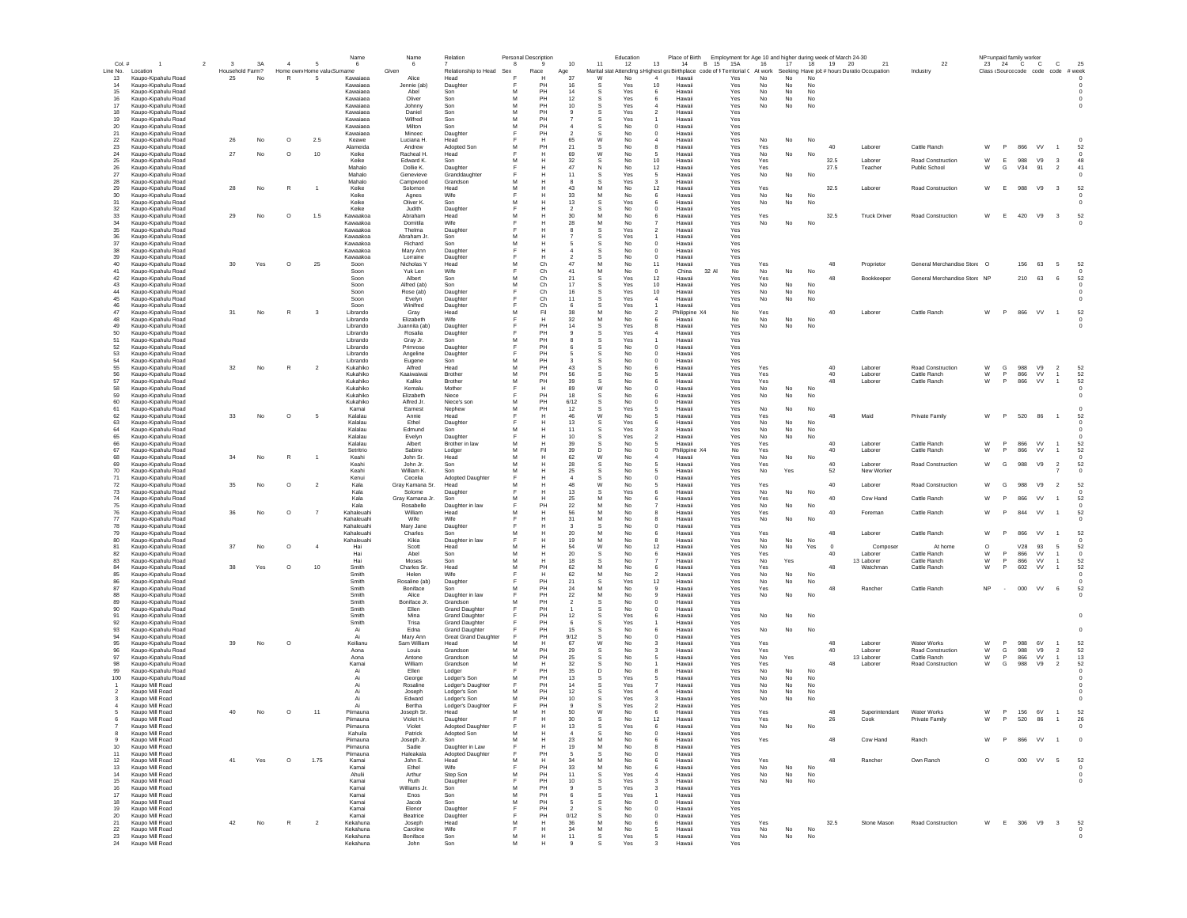| Col. #   | $\mathbf{1}$                               | $\overline{2}$<br>$\overline{\mathbf{3}}$ | 3A              | $\sim$       | -5                         | Name<br>6                | Name<br>6                  | Relation                                            | Personal Description<br>8 |          | 10             | 11           | Education<br>12                | Place of Birth<br>13<br>14<br>B 15                                      | <b>15A</b> | 16          | 17            | 18        | Employment for Age 10 and higher during week of March 24-30<br>19 20 | 21                     | 22                                       |           | NP=unpaid family worker<br>23 24 C C |                                      | $\mathbf{C}$                                        | 25                     |  |
|----------|--------------------------------------------|-------------------------------------------|-----------------|--------------|----------------------------|--------------------------|----------------------------|-----------------------------------------------------|---------------------------|----------|----------------|--------------|--------------------------------|-------------------------------------------------------------------------|------------|-------------|---------------|-----------|----------------------------------------------------------------------|------------------------|------------------------------------------|-----------|--------------------------------------|--------------------------------------|-----------------------------------------------------|------------------------|--|
|          | Line No. Location                          |                                           | Household Farm? |              | Home own Home valu Surname |                          | Given                      | Relationship to Head Sex                            |                           | Race     | Age            |              |                                | Marital stat Attending s Highest graBirthplace code of fi Territorial ( |            | At work     |               |           | Seeking Have job # hours Duratio Occupation                          |                        | Industry                                 |           |                                      |                                      | Class (Source code code code # week                 |                        |  |
| 13<br>14 | Kaupo-Kipahulu Road<br>Kaupo-Kipahulu Road | 25                                        | No              | $\mathbb{R}$ | 5                          | Kawaiaea<br>Kawaiaea     | Alice<br>Jennie (ab        | Head<br>Daughter                                    |                           | PH       | 37<br>16       | W            | No<br>Yes                      | Hawaii<br>10<br>Hawai                                                   | Yes<br>Yes | No<br>No    | No<br>No      | No<br>No  |                                                                      |                        |                                          |           |                                      |                                      |                                                     |                        |  |
| 15       | Kaupo-Kipahulu Road                        |                                           |                 |              |                            | Kawaiaea                 | Abel                       | Son                                                 | M                         | PH       | 14             |              | Yes                            | Hawaii                                                                  | Yes        | No          | No            | No        |                                                                      |                        |                                          |           |                                      |                                      |                                                     |                        |  |
| 16       | Kaupo-Kipahulu Road                        |                                           |                 |              |                            | Kawaiaea                 | Oliver                     | Son                                                 | M                         | PH       | 12             |              | Yes                            | Hawaii<br>-6                                                            | Yes        | No          | No            | No        |                                                                      |                        |                                          |           |                                      |                                      |                                                     |                        |  |
| 17<br>18 | Kaupo-Kipahulu Road<br>Kaupo-Kipahulu Road |                                           |                 |              |                            | Kawaiaea<br>Kawaiaea     | Johnny<br>Daniel           | Son<br>Son                                          | M                         | PF<br>PH | 10             |              | Yes<br>Yes                     | Hawaii<br>Hawaii<br>2                                                   | Yes<br>Yes | No          | No            | No        |                                                                      |                        |                                          |           |                                      |                                      |                                                     |                        |  |
| 19       | Kaupo-Kipahulu Road                        |                                           |                 |              |                            | Kawaiaea                 | Wilfred                    | Son                                                 |                           | PH       |                |              | Yes                            | Hawaii                                                                  | Yes        |             |               |           |                                                                      |                        |                                          |           |                                      |                                      |                                                     |                        |  |
| 20<br>21 | Kaupo-Kipahulu Road<br>Kauno-Kinahulu Road |                                           |                 |              |                            | Kawaiaea<br>Kawaiaea     | Milton<br>Minoec           | Son<br>Daughter                                     | M                         | PH<br>PH |                | -S           | No<br>No                       | $^{\circ}$<br>Hawaii<br>$^{\circ}$<br>Hawaii                            | Yes<br>Yes |             |               |           |                                                                      |                        |                                          |           |                                      |                                      |                                                     |                        |  |
| 22       | Kauno-Kinahulu Road                        | 26                                        | No              | $\circ$      | 2.5                        | Keawe                    | Luciana H.                 | Head                                                |                           | H        | 65             | W            | No                             | Hawaii<br>4                                                             | Yes        | No          | No            | No        |                                                                      |                        |                                          |           |                                      |                                      |                                                     |                        |  |
| 23       | Kauno-Kinahulu Road                        |                                           |                 |              |                            | Alameida                 | Andrew                     | Adopted Son                                         | м                         | PH       | 21             |              | No                             | Hawaii<br>8                                                             | Yes        | Yes         |               |           | 40                                                                   | Laborer                | Cattle Ranch                             | W         | P                                    | 866<br><b>VV</b>                     | $\overline{1}$                                      | 52                     |  |
| 24<br>25 | Kaupo-Kipahulu Road<br>Kaupo-Kipahulu Road | 27                                        | No              | $\circ$      | 10                         | Keike<br>Keike           | Racheal H<br>Edward K.     | Head<br>Son                                         | м                         | H<br>Ŀ.  | 69<br>32       | W            | No<br>No                       | Hawaii<br>-5<br>10<br>Hawaii                                            | Yes<br>Yes | No<br>Yes   | No            | No        | 32.5                                                                 | Laborer                | Road Construction                        | W         | F.                                   | 988<br>V9                            | $_{3}$                                              | $\Omega$<br>48         |  |
| 26       | Kaupo-Kipahulu Road                        |                                           |                 |              |                            | Mahalo                   | Dollie K.                  | Daughter                                            |                           | н        | 47             | N            | No                             | 12<br>Hawaii                                                            | Yes        | Yes         |               |           | 27.5                                                                 | Teacher                | Public School                            | W         | G                                    | V34<br>91                            | $\overline{2}$                                      | 41                     |  |
| 27<br>28 | Kaupo-Kipahulu Road<br>Kaupo-Kipahulu Road |                                           |                 |              |                            | Mahalo<br>Mahalo         | Genevieve<br>Campwood      | Granddaughter<br>Grandsor                           | M                         |          | 11             |              | Yes<br>Yes<br>3                | 5<br>Hawaii<br>Hawaii                                                   | Yes<br>Yes | No          | No            | No        |                                                                      |                        |                                          |           |                                      |                                      |                                                     | $\Omega$               |  |
| 29       | Kaupo-Kipahulu Road                        | 28                                        | No              | R            | $\mathbf{1}$               | Keike                    | Solomon                    | Head                                                | M                         |          | 43             | M            | No                             | 12<br>Hawaii                                                            | Yes        | Yes         |               |           | 32.5                                                                 | Laborer                | Road Construction                        | W         | E                                    | 988<br>V9                            | $\overline{\mathbf{3}}$                             | 52                     |  |
| 30       | Kaupo-Kipahulu Road                        |                                           |                 |              |                            | Keike                    | Agnes                      | Wife                                                |                           |          | 33             | M            | No                             | 6<br>Hawaii                                                             | Yes        | No          | No            | No        |                                                                      |                        |                                          |           |                                      |                                      |                                                     |                        |  |
| 31<br>32 | Kaupo-Kipahulu Road<br>Kaupo-Kipahulu Road |                                           |                 |              |                            | Keike<br>Keike           | Oliver K.<br>Judith        | Son<br>Daughter                                     | M                         | н        | 13             |              | Yes<br>No                      | Hawaii<br>6<br>Hawaii<br>$^{\circ}$                                     | Yes<br>Yes | No          | No            | No        |                                                                      |                        |                                          |           |                                      |                                      |                                                     | $^{\circ}$             |  |
| 33       | Kaupo-Kipahulu Road                        | 29                                        | No              | $\circ$      | 1.5                        | Kawaakoa                 | Abraham                    | Head                                                |                           |          | 30             |              | No                             | Hawaii<br>-6                                                            | Yes        | Yes         |               |           | 32.5                                                                 | <b>Truck Driver</b>    | Road Construction                        | W         | E.                                   | 420<br>V9                            | $\overline{\phantom{a}}$                            | 52                     |  |
| 34<br>35 | Kaupo-Kipahulu Road<br>Kauno-Kinahulu Road |                                           |                 |              |                            | Kawaakoa<br>Kawaakoa     | Domitila<br>Thelma         | Wife<br>Daughter                                    | Æ                         | H        | 28<br>-8       | S.           | No<br>Yes                      | Hawaii<br>$\overline{2}$<br>Hawaii                                      | Yes<br>Yes | No          | No            | No        |                                                                      |                        |                                          |           |                                      |                                      |                                                     |                        |  |
| 36       | Kauno-Kinahulu Road                        |                                           |                 |              |                            | Kawaakoa                 | Abraham Jr.                | Son                                                 |                           |          |                |              | Yes                            | Hawaii                                                                  | Yes        |             |               |           |                                                                      |                        |                                          |           |                                      |                                      |                                                     |                        |  |
| -37      | Kauno-Kinahulu Road                        |                                           |                 |              |                            | Kawaakoa                 | Richard                    | Son                                                 | M                         | н        |                |              | No                             | $^{\circ}$<br>Hawaii                                                    | Yes        |             |               |           |                                                                      |                        |                                          |           |                                      |                                      |                                                     |                        |  |
| 38<br>39 | Kauno-Kinahulu Road<br>Kaupo-Kipahulu Road |                                           |                 |              |                            | Kawaakoa<br>Kawaakoa     | Mary Ann<br>Lorraine       | Daughter<br>Daughter                                | F                         | . H<br>H | $\overline{2}$ | s            | No<br>No                       | $^{\circ}$<br>Hawaii<br>$\Omega$<br>Hawaii                              | Yes<br>Yes |             |               |           |                                                                      |                        |                                          |           |                                      |                                      |                                                     |                        |  |
| 40       | Kaupo-Kipahulu Road                        | 30                                        | Yes             | $\circ$      | 25                         | Soon                     | Nicholas Y                 | Head                                                | м                         | Ch       | 47             | M            | No                             | 11<br>Hawaii                                                            | Yes        | Yes         |               |           | 48                                                                   | Proprietor             | General Merchandise Store O              |           |                                      | 156<br>63                            | 5                                                   | 52                     |  |
| 41<br>42 | Kaupo-Kipahulu Road<br>Kaupo-Kipahulu Road |                                           |                 |              |                            | Soon<br>Soon             | Yuk Len<br>Albert          | Wife<br>Son                                         | м                         | Ch<br>Ch | 41<br>21       | M            | No<br>Yes                      | $\mathbf 0$<br>China<br>32 AI<br>12<br>Hawaii                           | No         | No<br>Yes   | No            | No        | 48                                                                   | Bookkeeper             | General Merchandise Store NP             |           |                                      | 210<br>63                            | 6                                                   | 52                     |  |
| 43       | Kaupo-Kipahulu Road                        |                                           |                 |              |                            | Soon                     | Alfred (ab)                | Sor                                                 | M                         | Ch       | 17             | s            | Yes                            | 10<br>Hawaii                                                            | Yes<br>Yes | No          | No            | No        |                                                                      |                        |                                          |           |                                      |                                      |                                                     |                        |  |
| 44       | Kaupo-Kipahulu Road                        |                                           |                 |              |                            | Soon                     | Rose (ab)                  | Daughter                                            |                           | Ch       | 16             |              | Yes                            | 10<br>Hawaii                                                            | Yes        | No          | No            | No        |                                                                      |                        |                                          |           |                                      |                                      |                                                     |                        |  |
| 45<br>46 | Kaupo-Kipahulu Road<br>Kaupo-Kipahulu Road |                                           |                 |              |                            | Soon<br>Soon             | Evelyn<br>Winifred         | Daughter<br>Daughter                                |                           | Ch<br>Ch | 11             |              | Yes<br>$\overline{4}$<br>Yes   | Hawaii<br>Hawaii                                                        | Yes<br>Yes | No          | No            | No        |                                                                      |                        |                                          |           |                                      |                                      |                                                     |                        |  |
| 47       | Kaupo-Kipahulu Road                        | 31                                        | No              | $\mathbb{R}$ | $\overline{\mathbf{3}}$    | Librando                 | Gray                       | Head                                                |                           | Fil      | 38             |              | No<br>$\overline{2}$           | Philippine X4                                                           | No         | Yes         |               |           | 40                                                                   | Laborer                | Cattle Ranch                             | W         | P                                    | 866 VV                               | $\overline{1}$                                      | 52                     |  |
| 48<br>49 | Kaupo-Kipahulu Road<br>Kaupo-Kipahulu Road |                                           |                 |              |                            | Librando<br>Librando     | Elizabeth<br>Juannita (ab) | Wife<br>Daughter                                    |                           | н<br>PH  | 32<br>14       |              | No<br>Yes                      | Hawaii<br>-6<br>Hawaii                                                  | No<br>Yes  | No<br>No    | No<br>No      | No<br>No  |                                                                      |                        |                                          |           |                                      |                                      |                                                     |                        |  |
| 50       | Kaupo-Kipahulu Road                        |                                           |                 |              |                            | Librando                 | Rosalia                    | Daughter                                            |                           | PH       | -9             | -S           | Yes                            | $\overline{4}$<br>Hawaii                                                | Yes        |             |               |           |                                                                      |                        |                                          |           |                                      |                                      |                                                     |                        |  |
| -51      | Kaupo-Kipahulu Road                        |                                           |                 |              |                            | Librando                 | Gray Jr.                   | Son                                                 |                           | PH       |                |              | Yes                            | Hawaii                                                                  | Yes        |             |               |           |                                                                      |                        |                                          |           |                                      |                                      |                                                     |                        |  |
| 52<br>53 | Kauno-Kinahulu Road<br>Kauno-Kinahulu Road |                                           |                 |              |                            | Librando<br>Librando     | Primrose<br>Angeline       | Daughter<br>Daughter                                | F                         | PH<br>PH |                |              | No<br>No                       | $^{\circ}$<br>Hawaii<br>$^{\circ}$<br>Hawaii                            | Yes<br>Yes |             |               |           |                                                                      |                        |                                          |           |                                      |                                      |                                                     |                        |  |
| 54       | Kaupo-Kipahulu Road                        |                                           |                 |              |                            | Librando                 | Eugene                     | Son                                                 | M                         | PH       |                | s            | No                             | $\Omega$<br>Hawaii                                                      | Yes        |             |               |           |                                                                      |                        |                                          |           |                                      |                                      |                                                     |                        |  |
| 55<br>56 | Kaupo-Kipahulu Road<br>Kaupo-Kipahulu Road | 32                                        | No              | $\mathbb{R}$ | $\overline{2}$             | Kukahiko<br>Kukahiko     | Alfred<br>Kaaiwaiwai       | Head<br><b>Brother</b>                              | M<br>M                    | PH<br>PH | 43<br>56       |              | No<br>No                       | Hawaii<br>6<br>Hawaii<br>-5                                             | Yes<br>Yes | Yes<br>Yes  |               |           | 40<br>40                                                             | Laborer<br>Laborer     | Road Construction<br>Cattle Ranch        | W<br>W    | G<br>P.                              | 988<br>V9<br>866<br><b>VV</b>        | $\overline{2}$<br>$\overline{1}$                    | 52<br>52               |  |
| 57       | Kaupo-Kipahulu Road                        |                                           |                 |              |                            | Kukahiko                 | Kaliko                     | <b>Brother</b>                                      | M                         | PH       | 39             |              | No                             | Hawaii<br>6                                                             | Yes        | Yes         |               |           | 48                                                                   | Laborer                | Cattle Ranch                             | W         | P                                    | 866<br>VV                            | $\overline{1}$                                      | 52                     |  |
| 58       | Kaupo-Kipahulu Road                        |                                           |                 |              |                            | Kukahiko                 | Kemalu                     | Mother                                              |                           |          | 89             | W            | No                             | $\mathbf 0$<br>Hawaii                                                   | Yes        | No          | No            | No        |                                                                      |                        |                                          |           |                                      |                                      |                                                     |                        |  |
| 59<br>60 | Kaupo-Kipahulu Road<br>Kaupo-Kipahulu Road |                                           |                 |              |                            | Kukahiko<br>Kukahiko     | Elizabeth<br>Alfred Jr.    | Niece<br>Niece's son                                | M                         | PH<br>PH | 18<br>6/12     | s            | No<br>No<br>$^{\circ}$         | Hawaii<br>Hawaii                                                        | Yes<br>Yes | $_{\rm No}$ | $_{\rm No}$   | No        |                                                                      |                        |                                          |           |                                      |                                      |                                                     |                        |  |
| 61       | Kaupo-Kipahulu Road                        |                                           |                 |              |                            | Kamai                    | Earnest                    | Nephew                                              | M                         | PH       | 12             |              | Yes                            | Hawaii<br>-5                                                            | Yes        | No          | No            | No        |                                                                      |                        |                                          |           |                                      |                                      |                                                     |                        |  |
| 62<br>63 | Kaupo-Kipahulu Road<br>Kaupo-Kipahulu Road | 33                                        | No              | $\circ$      | 5                          | Kalalau<br>Kalalau       | Annie<br>Ethel             | Head<br>Daughter                                    |                           | н        | 13             | W            | No<br>Yes                      | Hawaii<br>Hawaii<br>6                                                   | Yes<br>Yes | Yes<br>No   | No            | No        | 48                                                                   | Maid                   | Private Family                           | W         | P                                    | 520<br>86                            | $\overline{1}$                                      | 52                     |  |
| 64       | Kaupo-Kipahulu Road                        |                                           |                 |              |                            | Kalalau                  | Edmund                     | Son                                                 |                           |          | 11             |              | Yes<br>-3                      | Hawaii                                                                  | Yes        | No          | No            | No        |                                                                      |                        |                                          |           |                                      |                                      |                                                     |                        |  |
| 65       | Kauno-Kinahulu Road                        |                                           |                 |              |                            | Kalalau                  | Evelyn                     | Daughter                                            | F                         | H        | 10             | -S           | Yes                            | $\overline{2}$<br>Hawaii                                                | Yes        | No          | No            | No        |                                                                      |                        |                                          |           |                                      |                                      |                                                     |                        |  |
| 66<br>67 | Kauno-Kinahulu Road<br>Kauno-Kinahulu Road |                                           |                 |              |                            | Kalalau<br>Setritrio     | Albert<br>Sabino           | Brother in law<br>Lodger                            | м                         | н<br>Fil | 39<br>39       | s<br>D       | No<br>-5<br>No                 | Hawaii<br>$^{\circ}$<br>Philippine X4                                   | Yes<br>No  | Yes<br>Yes  |               |           | 40<br>40                                                             | Laborer<br>Laborer     | Cattle Ranch<br>Cattle Ranch             | W<br>W    | P<br>P.                              | 866<br><b>VV</b><br>866              | <b>VV</b><br>$\overline{1}$                         | 52<br>52               |  |
| 68       | Kaupo-Kipahulu Road                        | 34                                        | No              | R            | $\overline{1}$             | Keahi                    | John Sr.                   | Head                                                | м                         | н        | 62             | W            | No                             | Hawaii                                                                  | Yes        | No          | No            | No        |                                                                      |                        |                                          |           |                                      |                                      |                                                     |                        |  |
| 69<br>70 | Kaupo-Kipahulu Road<br>Kaupo-Kipahulu Road |                                           |                 |              |                            | Keahi<br>Keahi           | John Jr.<br>William K.     | Son<br>Son                                          | M<br>м                    | H<br>Ŀ.  | 28<br>25       | s<br>s       | No<br>No                       | $5 -$<br>Hawaii<br>Hawaii<br>-5                                         | Yes<br>Yes | Yes         | Yes           |           | 40<br>52                                                             | Laborer<br>New Worker  | Road Construction                        | W         | G                                    | 988<br>V9                            | $\overline{2}$                                      | 52<br>$^{\circ}$       |  |
| 71       | Kaupo-Kipahulu Road                        |                                           |                 |              |                            | Kenui                    | Cecelia                    | Adopted Daughter                                    |                           | . H      |                |              | No                             | Hawaii<br>$\Omega$                                                      | Yes        | No          |               |           |                                                                      |                        |                                          |           |                                      |                                      |                                                     |                        |  |
| 72       | Kaupo-Kipahulu Road                        | 35                                        | No              | $\circ$      | $\overline{2}$             | Kala                     | Gray Kamana Sr.            | Head                                                | м                         | Ŀ.       | 48             | W            | No                             | Hawaii<br>-5                                                            | Yes        | Yes         |               |           | 40                                                                   | Laborer                | Road Construction                        | W         | G                                    | 988<br>V9                            | $\overline{2}$                                      | 52                     |  |
| 73<br>74 | Kaupo-Kipahulu Road<br>Kaupo-Kipahulu Road |                                           |                 |              |                            | Kala<br>Kala             | Solome<br>Gray Kamana Jr.  | Daughter<br>Sor                                     | M                         |          | 13<br>25       | s<br>M       | Yes<br>No                      | 6<br>Hawaii<br>Hawaii                                                   | Yes<br>Yes | No<br>Yes   | No            | No        | 40                                                                   | Cow Hand               | Cattle Ranch                             | W         | P.                                   | 866<br>VV                            | $\overline{1}$                                      | 52                     |  |
| 75       | Kaupo-Kipahulu Road                        |                                           |                 |              |                            | Kala                     | Rosabelle                  | Daughter in lav                                     |                           | PH       | 22             | M            | No                             | Hawaii                                                                  | Yes        | No          | No            | No        |                                                                      |                        |                                          |           |                                      |                                      |                                                     |                        |  |
| 76<br>77 | Kaupo-Kipahulu Road<br>Kaupo-Kipahulu Road |                                           | No              | $\circ$      | $\overline{7}$             | Kahaleuahi<br>Kahaleuahi | William<br>Wife            | Head<br>Wife                                        | M                         | H        | 56<br>31       | M            | No<br>No                       | Hawaii<br>8<br>Hawaii                                                   | Yes<br>Yes | Yes<br>No   | No            | No        | 40                                                                   | Foreman                | Cattle Ranch                             | W         |                                      | 844                                  | VV<br>$\overline{1}$                                | 52                     |  |
| 78       | Kaupo-Kipahulu Road                        |                                           |                 |              |                            | Kahaleuahi               | Mary Jane                  | Daughter                                            |                           | н        |                |              | No                             | $^{\circ}$<br>Hawaii                                                    | Yes        |             |               |           |                                                                      |                        |                                          |           |                                      |                                      |                                                     |                        |  |
| 79       | Kaupo-Kipahulu Road                        |                                           |                 |              |                            | Kahaleuahi               | Charles                    | Son                                                 |                           |          | 20             |              | No                             | Hawaii<br>-6                                                            | Yes        | Yes         |               |           | 48                                                                   | Laborer                | Cattle Ranch                             | W         |                                      | 866                                  | VV<br>$\overline{1}$                                | 52                     |  |
| 80<br>81 | Kaupo-Kipahulu Road<br>Kaupo-Kipahulu Road | -37                                       | No              | $\circ$      | $\overline{4}$             | Kahaleuahi<br>Hai        | Kikia<br>Scott             | Daughter in law<br>Head                             |                           | H<br>. H | 19<br>54       | M<br>W       | No<br>No                       | 8<br>Hawaii<br>12<br>Hawaii                                             | Yes<br>Yes | No<br>No    | No<br>No      | No<br>Yes | $\overline{0}$                                                       | Composer               | At home                                  | $\circ$   |                                      | V28<br>93                            | 5                                                   | - 0<br>52              |  |
| 82       | Kaupo-Kipahulu Road                        |                                           |                 |              |                            | Hai                      | Abel                       | Son                                                 | м                         | H        | 20             | s            | No                             | 6<br>Hawaii                                                             | Yes        | Yes         |               |           | 40                                                                   | Laborer                | Cattle Ranch                             | W         | P                                    | 866                                  | <b>VV</b>                                           | $^{\circ}$             |  |
| 83<br>84 | Kaupo-Kipahulu Road<br>Kaupo-Kipahulu Road | 38                                        | Yes             | $\circ$      | 10                         | Hai<br>Smith             | Moses<br>Charles Sr.       | Son<br>Head                                         | м<br>M                    | н<br>PH  | 18<br>62       | s<br>M       | No<br>No                       | Hawaii<br>6<br>Hawaii                                                   | Yes<br>Yes | No<br>Yes   | Yes           |           | 48                                                                   | 13 Laborer<br>Watchman | Cattle Ranch<br>Cattle Ranch             | W<br>W    | <b>P</b><br>P                        | 866<br><b>VV</b><br>602<br><b>VV</b> | $\overline{1}$                                      | 52<br>52               |  |
| 85       | Kaupo-Kipahulu Road                        |                                           |                 |              |                            | Smith                    | Helen                      | Wife                                                |                           |          | 62             | M            | No                             | Hawaii<br>$\overline{\phantom{a}}$                                      | Yes        | No          | No            | No        |                                                                      |                        |                                          |           |                                      |                                      |                                                     | $\Omega$               |  |
| 86<br>87 | Kaupo-Kipahulu Road<br>Kaupo-Kipahulu Road |                                           |                 |              |                            | Smith<br>Smith           | Rosaline (ab)<br>Boniface  | Daughter<br>Son                                     | F<br>м                    | PH<br>PH | 21<br>24       | s<br>M       | Yes<br>No                      | 12<br>Hawaii<br>Hawaii<br>9                                             | Yes        | No          | No            | No        | 48                                                                   | Rancher                | Cattle Ranch                             | <b>NP</b> | $\sim$ 100 $\mu$                     |                                      |                                                     | 52                     |  |
| 88       | Kaupo-Kipahulu Road                        |                                           |                 |              |                            | Smith                    | Alice                      | Daughter in law                                     |                           | PH       | 22             | M            | No<br>9                        | Hawaii                                                                  | Yes<br>Yes | Yes<br>No   | No            | No        |                                                                      |                        |                                          |           |                                      | 000 VV 6                             |                                                     |                        |  |
| 89<br>90 | Kaupo-Kipahulu Road                        |                                           |                 |              |                            | Smith<br>Smith           | Boniface Jr.<br>Ellen      | Grandson<br><b>Grand Daughter</b>                   | м                         | PH<br>PH |                |              | No<br>No                       | $\mathbf 0$<br>Hawaii<br>$\mathbf 0$<br>Hawaii                          | Yes<br>Yes |             |               |           |                                                                      |                        |                                          |           |                                      |                                      |                                                     |                        |  |
| 91       | Kaupo-Kipahulu Road<br>Kaupo-Kipahulu Road |                                           |                 |              |                            | Smith                    | Mina                       | <b>Grand Daughter</b>                               |                           | PH       | 12             |              | Yes                            | Hawaii<br>6                                                             | Yes        | No          | No            | No        |                                                                      |                        |                                          |           |                                      |                                      |                                                     |                        |  |
| 92       | Kaupo-Kipahulu Road                        |                                           |                 |              |                            | Smith                    | Trisa                      | <b>Grand Daughte</b>                                |                           | PH       |                |              | Yes                            | Hawaii                                                                  | Yes        |             |               |           |                                                                      |                        |                                          |           |                                      |                                      |                                                     |                        |  |
| 93<br>94 | Kaupo-Kipahulu Road<br>Kaupo-Kipahulu Road |                                           |                 |              |                            | Ai<br>Ai                 | Edna<br>Mary Ann           | <b>Grand Daughte</b><br><b>Great Grand Daughter</b> |                           | PH<br>PH | 15<br>9/12     |              | No<br>No                       | Hawaii<br>-6<br>Hawaii<br>$^{\circ}$                                    | Yes<br>Yes | No          | No            | No        |                                                                      |                        |                                          |           |                                      |                                      |                                                     |                        |  |
| 95       | Kauno-Kinahulu Road                        | 39                                        | No              | $\circ$      |                            | Keilianu                 | Sam William                | Head                                                |                           | н        | 67             | W            | No                             | 3<br>Hawaii                                                             | Yes        | Yes         |               |           | 48                                                                   | Laborer                | Water Works                              | W         | <b>P</b>                             | 988<br>6V                            |                                                     | 52                     |  |
| 96<br>97 | Kauno-Kinahulu Road<br>Kauno-Kinahulu Road |                                           |                 |              |                            | Aona<br>Aona             | Louis<br>Antone            | Grandson<br>Grandson                                | м<br>м                    | PH<br>PH | 29<br>25       | s<br>-S      | No<br>-3<br>No                 | Hawaii<br>-5<br>Hawaii                                                  | Yes<br>Yes | Yes<br>No   | Yes           |           | 40                                                                   | Laborer<br>13 Laborer  | <b>Road Construction</b><br>Cattle Ranch | W<br>W    | G<br>$\mathsf{P}$                    | 988<br>866                           | V9<br>$\overline{2}$<br><b>VV</b><br>$\overline{1}$ | 52<br>13               |  |
| 98       | Kauno-Kinahulu Road                        |                                           |                 |              |                            | Kamai                    | William                    | Grandson                                            | м                         | H        | 32             | s            | No                             | Hawaii                                                                  | Yes        | Yes         |               |           | 48                                                                   | Laborer                | <b>Road Construction</b>                 | W         | G                                    | 988                                  | V9<br>$\overline{2}$                                | 52                     |  |
| 99       | Kauno-Kinahulu Road                        |                                           |                 |              |                            | Ai                       | Filen                      | Lodger                                              | E                         | PH       | 35             | D.           | No                             | Hawaii<br>8                                                             | Yes        | No          | No            | No        |                                                                      |                        |                                          |           |                                      |                                      |                                                     |                        |  |
| 100      | Kaupo-Kipahulu Road<br>Kaupo Mill Road     |                                           |                 |              |                            | Ai<br>Ai                 | George<br>Rosaline         | Lodger's Son<br>Lodger's Daughter                   | м                         | PH<br>PH | 13<br>14       |              | Yes<br>5<br>Yes                | Hawaii<br>Hawaii                                                        | Yes<br>Yes | No<br>No    | No<br>No      | No<br>No  |                                                                      |                        |                                          |           |                                      |                                      |                                                     |                        |  |
|          | Kaupo Mill Road                            |                                           |                 |              |                            | Ai                       | Joseph                     | Lodger's Son                                        | м                         | PH       | 12             |              | Yes                            | Hawaii                                                                  | Yes        | No          | No            | No        |                                                                      |                        |                                          |           |                                      |                                      |                                                     |                        |  |
|          | Kaupo Mill Road                            |                                           |                 |              |                            |                          | Edward                     | Lodger's Son                                        | M                         | PH       | 10             | <sub>S</sub> | Yes<br>3                       | Hawaii                                                                  | Yes        | No          | No            | No        |                                                                      |                        |                                          |           |                                      |                                      |                                                     |                        |  |
|          | Kaupo Mill Road<br>Kaupo Mill Road         | 40                                        | No              | $\circ$      | 11                         | Piimauna                 | Bertha<br>Joseph Sr        | Lodger's Daughter<br>Head                           | M                         | PH       | 50             | W            | Yes<br>No                      | Hawaii<br>Hawaii                                                        | Yes<br>Yes | Yes         |               |           | 48                                                                   | Superintendant         | Water Works                              | W         | P                                    | 156 6V                               | $\overline{1}$                                      | 52                     |  |
|          | Kaupo Mill Road                            |                                           |                 |              |                            | Piimauna                 | Violet H.                  | Daughter                                            |                           | H        | 30             |              | No                             | 12<br>Hawaii                                                            | Yes        | Yes         |               |           | 26                                                                   | Cook                   | Private Family                           | W         | P                                    | 520                                  | 86<br>$\overline{1}$                                | 26                     |  |
| 8        | Kaupo Mill Road<br>Kaupo Mill Road         |                                           |                 |              |                            | Piimauna<br>Kahuila      | Violet<br>Patrick          | <b>Adopted Da</b><br>Adopted Son                    | M                         | H        | 13             | s            | Yes<br>No                      | Hawaii<br>$\mathbf 0$<br>Hawaii                                         | Yes<br>Yes | No.         | No            |           |                                                                      |                        |                                          |           |                                      |                                      |                                                     |                        |  |
|          | Kaupo Mill Road                            |                                           |                 |              |                            | Piimauna                 | Joseph Jr.                 | Son                                                 | M                         | н        | 23             |              | No<br>-6                       | Hawaii                                                                  | Yes        | Yes         |               |           | 48                                                                   | Cow Hand               | Ranch                                    |           |                                      | 866 VV                               | $\overline{1}$                                      | $^{\circ}$             |  |
| 10       | Kaupo Mill Road                            |                                           |                 |              |                            | Piimauna                 | Sadie                      | Daughter in Law                                     | F                         | H        | 19             | M            | No                             | 8<br>Hawaii                                                             | Yes        |             |               |           |                                                                      |                        |                                          |           |                                      |                                      |                                                     |                        |  |
| 11<br>12 | Kaupo Mill Road<br>Kaupo Mill Road         | 41                                        | Yes             | $\circ$      | 1.75                       | Piimauna<br>Kamai        | Haleakala<br>John E.       | <b>Adopted Daughter</b><br>Head                     | м                         | PH<br>H  | 34             | м            | No<br>No                       | $^{\circ}$<br>Hawaii<br>6<br>Hawaii                                     | Yes<br>Yes | Yes         |               |           | 48                                                                   | Rancher                | Own Ranch                                | $\circ$   |                                      | 000                                  | $VV$ 5                                              | 52                     |  |
| 13       | Kaupo Mill Road                            |                                           |                 |              |                            | Kamai                    | Ethel                      | Wife                                                | F                         | PH       | 33             |              | No                             | 6<br>Hawaii                                                             | Yes        | No          | No            | No        |                                                                      |                        |                                          |           |                                      |                                      |                                                     | $^{\circ}$             |  |
| 14<br>15 | Kaupo Mill Road<br>Kaupo Mill Road         |                                           |                 |              |                            | Ahulii<br>Kamai          | Arthur<br>Ruth             | Step Son<br>Daughter                                | M<br>F                    | PH<br>PH | 11<br>10       | s<br>s       | Yes<br>Yes                     | Hawaii<br>$\overline{4}$<br>Hawaii<br>3                                 | Yes<br>Yes | No<br>No    | No<br>No      | No<br>No  |                                                                      |                        |                                          |           |                                      |                                      |                                                     | $\Omega$<br>$^{\circ}$ |  |
| 16       | Kaupo Mill Road                            |                                           |                 |              |                            | Kamai                    | Williams Jr.               | Son                                                 | M                         | PH       | $\mathbf{q}$   | S.           | Yes<br>$\overline{\mathbf{3}}$ | Hawaii                                                                  | Yes        |             |               |           |                                                                      |                        |                                          |           |                                      |                                      |                                                     |                        |  |
| 17       | Kaupo Mill Road                            |                                           |                 |              |                            | Kamai                    | Enos                       | Son                                                 | M                         | PH       |                | s            | Yes                            | Hawaii                                                                  | Yes        |             |               |           |                                                                      |                        |                                          |           |                                      |                                      |                                                     |                        |  |
| 18<br>19 | Kaupo Mill Road<br>Kaupo Mill Road         |                                           |                 |              |                            | Kamai<br>Kamai           | Jacob<br>Elenor            | Sor<br>Daughter                                     | M<br>F                    | PH<br>PH |                | s<br>s       | No<br>No                       | $\mathbf 0$<br>Hawaii<br>$\circ$<br>Hawaii                              | Yes<br>Yes |             |               |           |                                                                      |                        |                                          |           |                                      |                                      |                                                     |                        |  |
| 20       | Kaupo Mill Road                            |                                           |                 |              |                            | Kamai                    | Beatrice                   | Daughter                                            | F                         | PH       | 0/12           | s            | No                             | $\mathbf 0$<br>Hawaii                                                   | Yes        |             |               |           |                                                                      |                        |                                          |           |                                      |                                      |                                                     |                        |  |
| 21<br>22 | Kaupo Mill Road<br>Kaupo Mill Road         | 42                                        | No              | $\mathbb{R}$ | $\overline{2}$             | Kekahuna<br>Kekahuna     | Joseph<br>Caroline         | Head<br>Wife                                        | M                         | H<br>н   | 36<br>34       | M<br>M       | No<br>No<br>-5                 | Hawaii<br>6<br>Hawaii                                                   | Yes<br>Yes | Yes<br>No   | No            | No        | 32.5                                                                 | Stone Mason            | Road Construction                        | W         |                                      | E 306 V9                             | $\overline{\phantom{a}}$                            | 52                     |  |
| 23       | Kaupo Mill Road                            |                                           |                 |              |                            | Kekahuna                 | Boniface                   | Son                                                 | M                         | H        | 11             | s            | Yes                            | Hawaii<br>-5                                                            | Yes        | No          | $\mathsf{No}$ | No        |                                                                      |                        |                                          |           |                                      |                                      |                                                     | $^{\circ}$             |  |
| 24       | Kaupo Mill Road                            |                                           |                 |              |                            | Kekahuna                 | John                       | Son                                                 | M                         |          |                | s            | Yes                            | Hawaii<br>3                                                             | Yes        |             |               |           |                                                                      |                        |                                          |           |                                      |                                      |                                                     |                        |  |